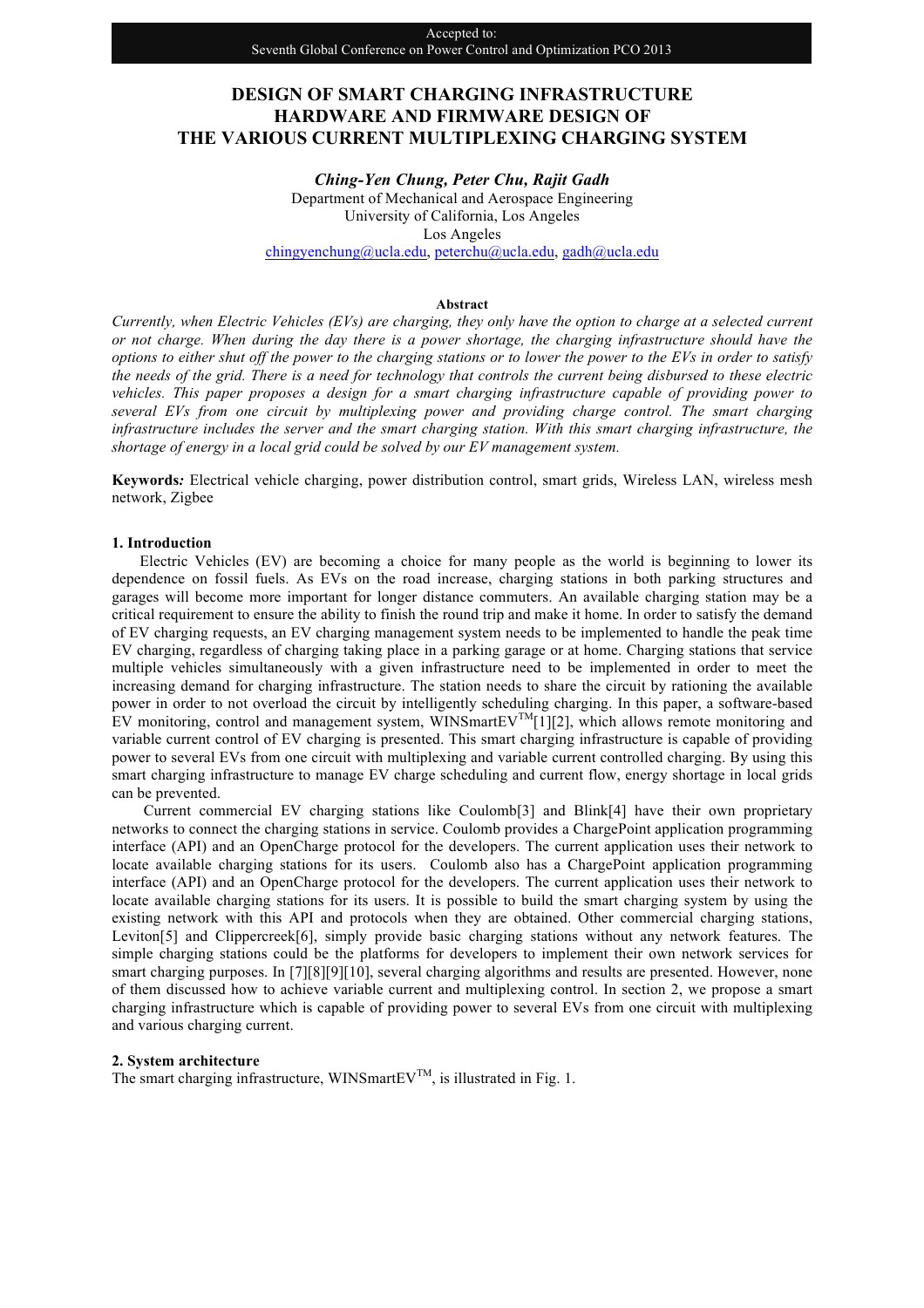# **DESIGN OF SMART CHARGING INFRASTRUCTURE HARDWARE AND FIRMWARE DESIGN OF THE VARIOUS CURRENT MULTIPLEXING CHARGING SYSTEM**

*Ching-Yen Chung, Peter Chu, Rajit Gadh* Department of Mechanical and Aerospace Engineering University of California, Los Angeles Los Angeles chingyenchung@ucla.edu, peterchu@ucla.edu, gadh@ucla.edu

## **Abstract**

*Currently, when Electric Vehicles (EVs) are charging, they only have the option to charge at a selected current or not charge. When during the day there is a power shortage, the charging infrastructure should have the options to either shut off the power to the charging stations or to lower the power to the EVs in order to satisfy the needs of the grid. There is a need for technology that controls the current being disbursed to these electric vehicles. This paper proposes a design for a smart charging infrastructure capable of providing power to several EVs from one circuit by multiplexing power and providing charge control. The smart charging infrastructure includes the server and the smart charging station. With this smart charging infrastructure, the shortage of energy in a local grid could be solved by our EV management system.*

**Keywords***:* Electrical vehicle charging, power distribution control, smart grids, Wireless LAN, wireless mesh network, Zigbee

### **1. Introduction**

Electric Vehicles (EV) are becoming a choice for many people as the world is beginning to lower its dependence on fossil fuels. As EVs on the road increase, charging stations in both parking structures and garages will become more important for longer distance commuters. An available charging station may be a critical requirement to ensure the ability to finish the round trip and make it home. In order to satisfy the demand of EV charging requests, an EV charging management system needs to be implemented to handle the peak time EV charging, regardless of charging taking place in a parking garage or at home. Charging stations that service multiple vehicles simultaneously with a given infrastructure need to be implemented in order to meet the increasing demand for charging infrastructure. The station needs to share the circuit by rationing the available power in order to not overload the circuit by intelligently scheduling charging. In this paper, a software-based EV monitoring, control and management system, WINSmartEV<sup>TM</sup>[1][2], which allows remote monitoring and variable current control of EV charging is presented. This smart charging infrastructure is capable of providing power to several EVs from one circuit with multiplexing and variable current controlled charging. By using this smart charging infrastructure to manage EV charge scheduling and current flow, energy shortage in local grids can be prevented.

Current commercial EV charging stations like Coulomb[3] and Blink[4] have their own proprietary networks to connect the charging stations in service. Coulomb provides a ChargePoint application programming interface (API) and an OpenCharge protocol for the developers. The current application uses their network to locate available charging stations for its users. Coulomb also has a ChargePoint application programming interface (API) and an OpenCharge protocol for the developers. The current application uses their network to locate available charging stations for its users. It is possible to build the smart charging system by using the existing network with this API and protocols when they are obtained. Other commercial charging stations, Leviton[5] and Clippercreek[6], simply provide basic charging stations without any network features. The simple charging stations could be the platforms for developers to implement their own network services for smart charging purposes. In [7][8][9][10], several charging algorithms and results are presented. However, none of them discussed how to achieve variable current and multiplexing control. In section 2, we propose a smart charging infrastructure which is capable of providing power to several EVs from one circuit with multiplexing and various charging current.

## **2. System architecture**

The smart charging infrastructure, WINSmartEV<sup>TM</sup>, is illustrated in Fig. 1.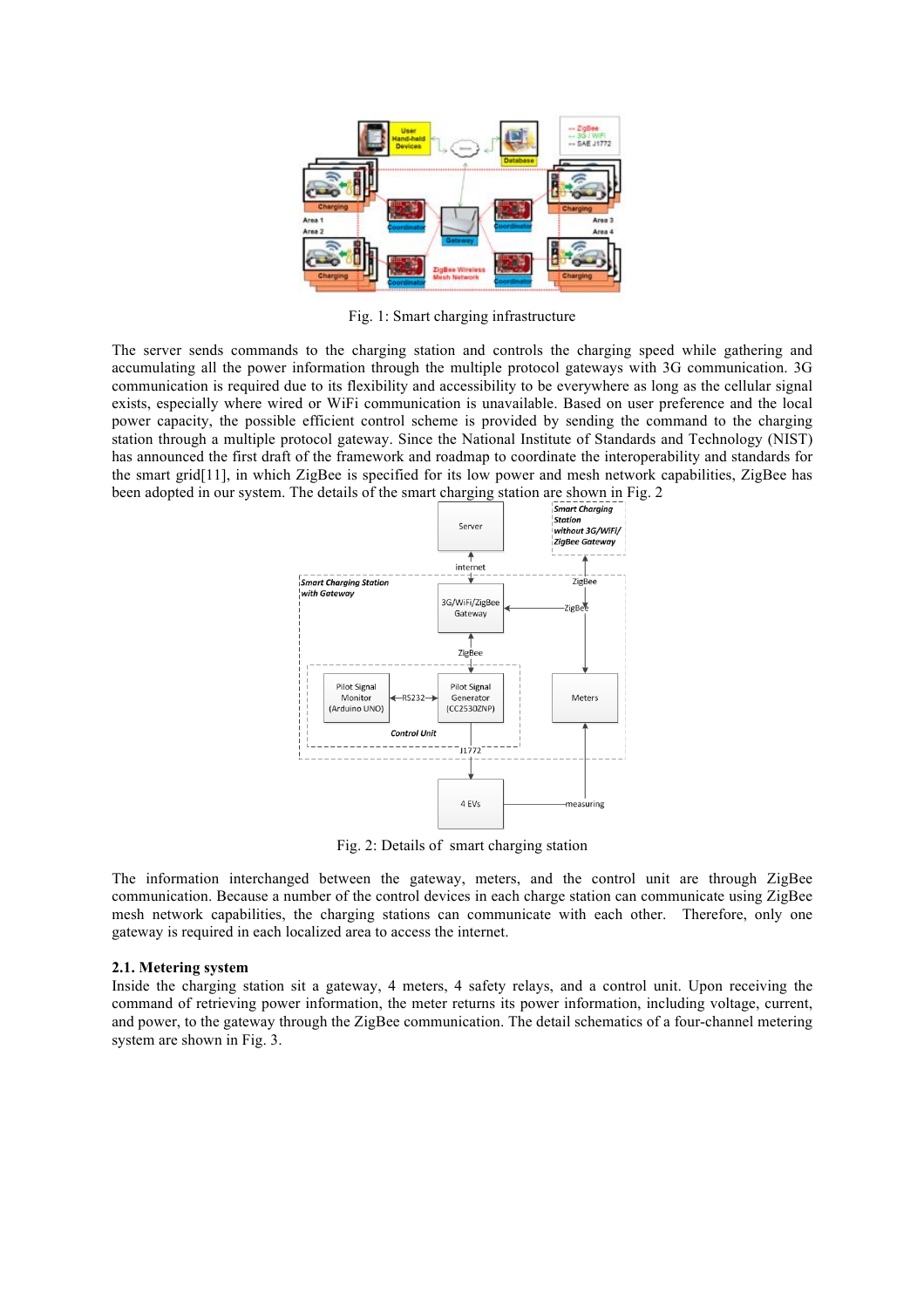

Fig. 1: Smart charging infrastructure

The server sends commands to the charging station and controls the charging speed while gathering and accumulating all the power information through the multiple protocol gateways with 3G communication. 3G communication is required due to its flexibility and accessibility to be everywhere as long as the cellular signal exists, especially where wired or WiFi communication is unavailable. Based on user preference and the local power capacity, the possible efficient control scheme is provided by sending the command to the charging station through a multiple protocol gateway. Since the National Institute of Standards and Technology (NIST) has announced the first draft of the framework and roadmap to coordinate the interoperability and standards for the smart grid[11], in which ZigBee is specified for its low power and mesh network capabilities, ZigBee has been adopted in our system. The details of the smart charging station are shown in Fig. 2



Fig. 2: Details of smart charging station

The information interchanged between the gateway, meters, and the control unit are through ZigBee communication. Because a number of the control devices in each charge station can communicate using ZigBee mesh network capabilities, the charging stations can communicate with each other. Therefore, only one gateway is required in each localized area to access the internet.

#### **2.1. Metering system**

Inside the charging station sit a gateway, 4 meters, 4 safety relays, and a control unit. Upon receiving the command of retrieving power information, the meter returns its power information, including voltage, current, and power, to the gateway through the ZigBee communication. The detail schematics of a four-channel metering system are shown in Fig. 3.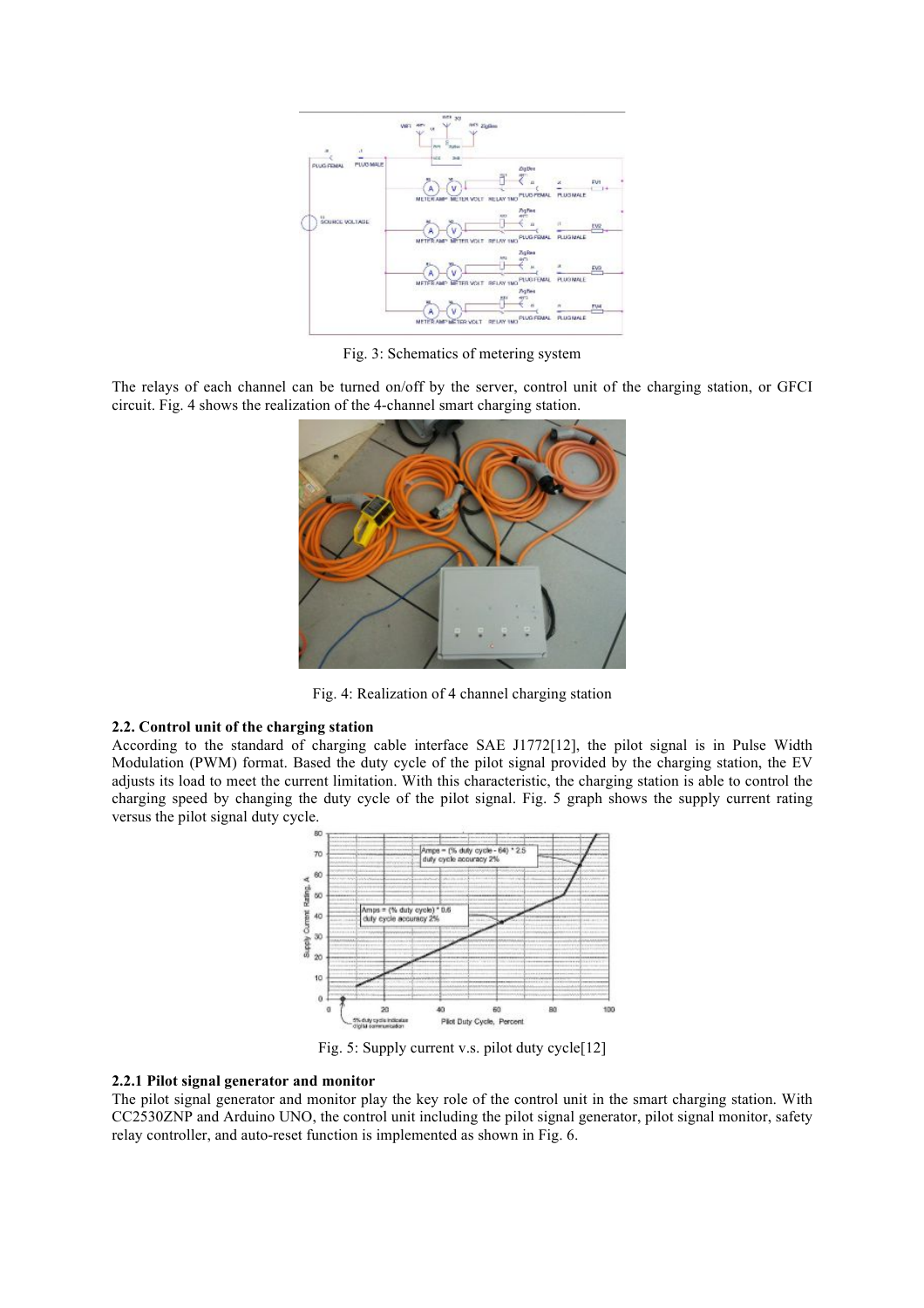

Fig. 3: Schematics of metering system

The relays of each channel can be turned on/off by the server, control unit of the charging station, or GFCI circuit. Fig. 4 shows the realization of the 4-channel smart charging station.



Fig. 4: Realization of 4 channel charging station

## **2.2. Control unit of the charging station**

According to the standard of charging cable interface SAE J1772[12], the pilot signal is in Pulse Width Modulation (PWM) format. Based the duty cycle of the pilot signal provided by the charging station, the EV adjusts its load to meet the current limitation. With this characteristic, the charging station is able to control the charging speed by changing the duty cycle of the pilot signal. Fig. 5 graph shows the supply current rating versus the pilot signal duty cycle.



Fig. 5: Supply current v.s. pilot duty cycle[12]

### **2.2.1 Pilot signal generator and monitor**

The pilot signal generator and monitor play the key role of the control unit in the smart charging station. With CC2530ZNP and Arduino UNO, the control unit including the pilot signal generator, pilot signal monitor, safety relay controller, and auto-reset function is implemented as shown in Fig. 6.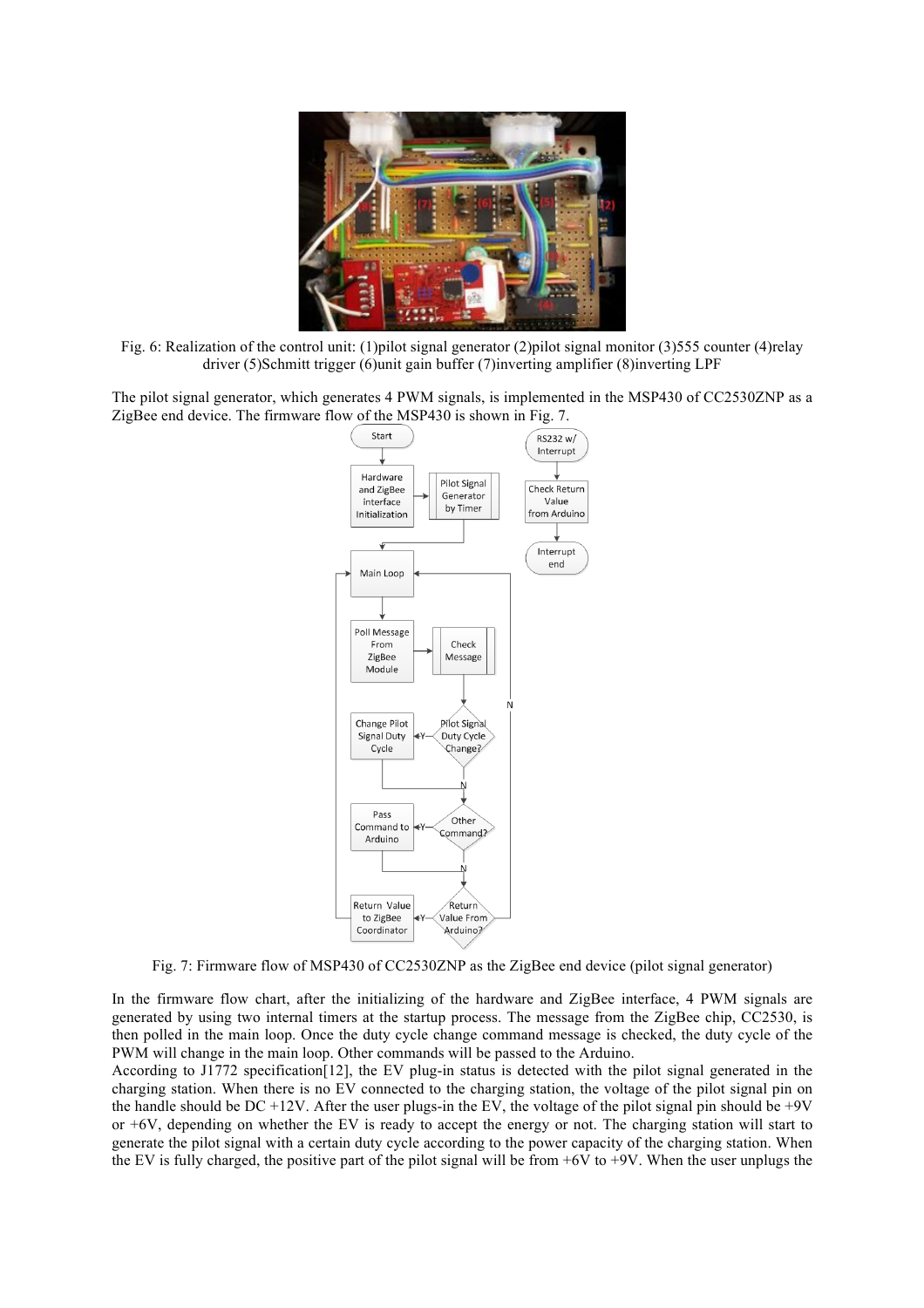

Fig. 6: Realization of the control unit: (1)pilot signal generator (2)pilot signal monitor (3)555 counter (4)relay driver (5)Schmitt trigger (6)unit gain buffer (7)inverting amplifier (8)inverting LPF

The pilot signal generator, which generates 4 PWM signals, is implemented in the MSP430 of CC2530ZNP as a ZigBee end device. The firmware flow of the MSP430 is shown in Fig. 7.



Fig. 7: Firmware flow of MSP430 of CC2530ZNP as the ZigBee end device (pilot signal generator)

In the firmware flow chart, after the initializing of the hardware and ZigBee interface, 4 PWM signals are generated by using two internal timers at the startup process. The message from the ZigBee chip, CC2530, is then polled in the main loop. Once the duty cycle change command message is checked, the duty cycle of the PWM will change in the main loop. Other commands will be passed to the Arduino.

According to J1772 specification[12], the EV plug-in status is detected with the pilot signal generated in the charging station. When there is no EV connected to the charging station, the voltage of the pilot signal pin on the handle should be DC +12V. After the user plugs-in the EV, the voltage of the pilot signal pin should be +9V or  $+6V$ , depending on whether the EV is ready to accept the energy or not. The charging station will start to generate the pilot signal with a certain duty cycle according to the power capacity of the charging station. When the EV is fully charged, the positive part of the pilot signal will be from  $+6V$  to  $+9V$ . When the user unplugs the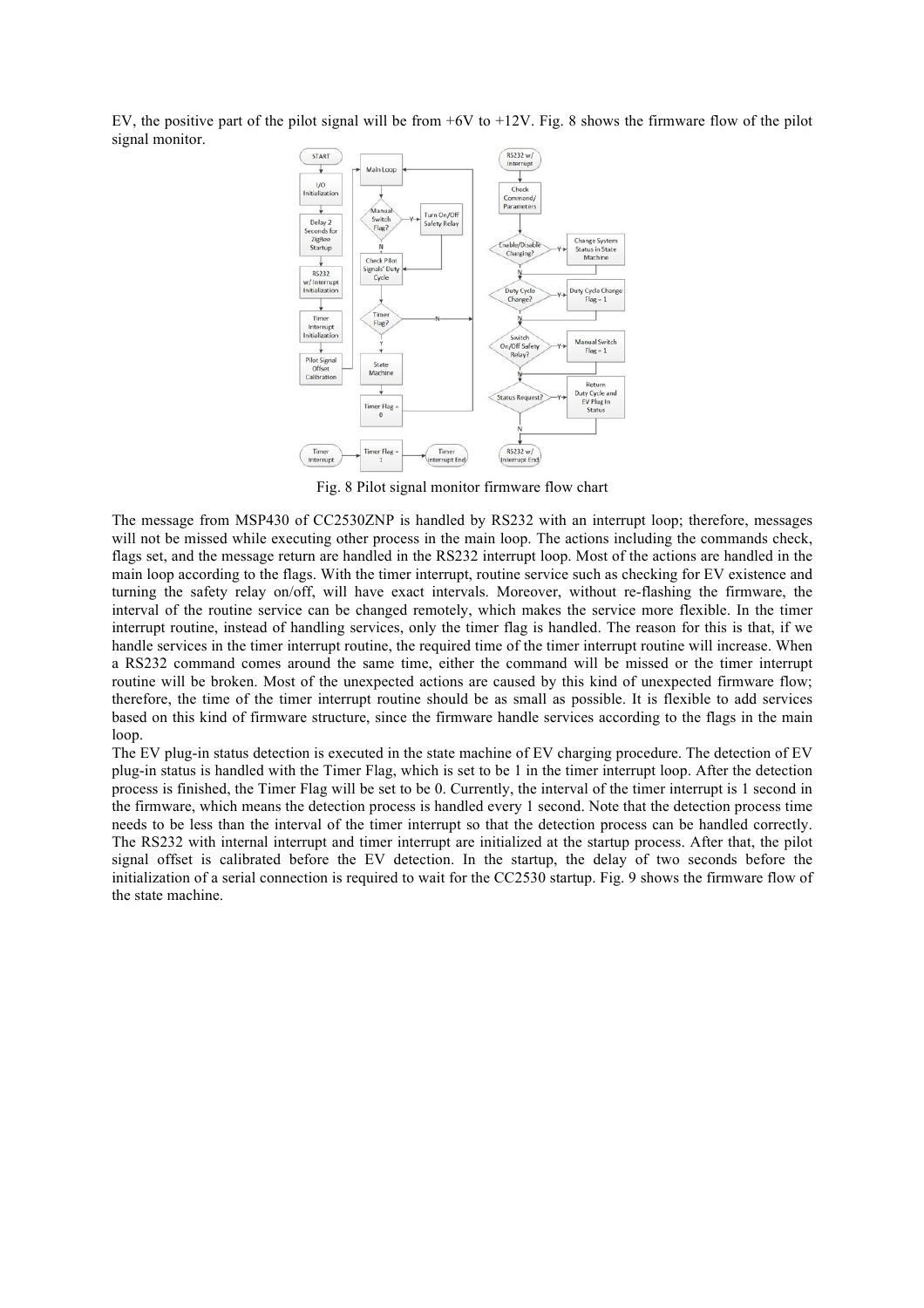EV, the positive part of the pilot signal will be from  $+6V$  to  $+12V$ . Fig. 8 shows the firmware flow of the pilot signal monitor.



Fig. 8 Pilot signal monitor firmware flow chart

The message from MSP430 of CC2530ZNP is handled by RS232 with an interrupt loop; therefore, messages will not be missed while executing other process in the main loop. The actions including the commands check, flags set, and the message return are handled in the RS232 interrupt loop. Most of the actions are handled in the main loop according to the flags. With the timer interrupt, routine service such as checking for EV existence and turning the safety relay on/off, will have exact intervals. Moreover, without re-flashing the firmware, the interval of the routine service can be changed remotely, which makes the service more flexible. In the timer interrupt routine, instead of handling services, only the timer flag is handled. The reason for this is that, if we handle services in the timer interrupt routine, the required time of the timer interrupt routine will increase. When a RS232 command comes around the same time, either the command will be missed or the timer interrupt routine will be broken. Most of the unexpected actions are caused by this kind of unexpected firmware flow; therefore, the time of the timer interrupt routine should be as small as possible. It is flexible to add services based on this kind of firmware structure, since the firmware handle services according to the flags in the main loop.

The EV plug-in status detection is executed in the state machine of EV charging procedure. The detection of EV plug-in status is handled with the Timer Flag, which is set to be 1 in the timer interrupt loop. After the detection process is finished, the Timer Flag will be set to be 0. Currently, the interval of the timer interrupt is 1 second in the firmware, which means the detection process is handled every 1 second. Note that the detection process time needs to be less than the interval of the timer interrupt so that the detection process can be handled correctly. The RS232 with internal interrupt and timer interrupt are initialized at the startup process. After that, the pilot signal offset is calibrated before the EV detection. In the startup, the delay of two seconds before the initialization of a serial connection is required to wait for the CC2530 startup. Fig. 9 shows the firmware flow of the state machine.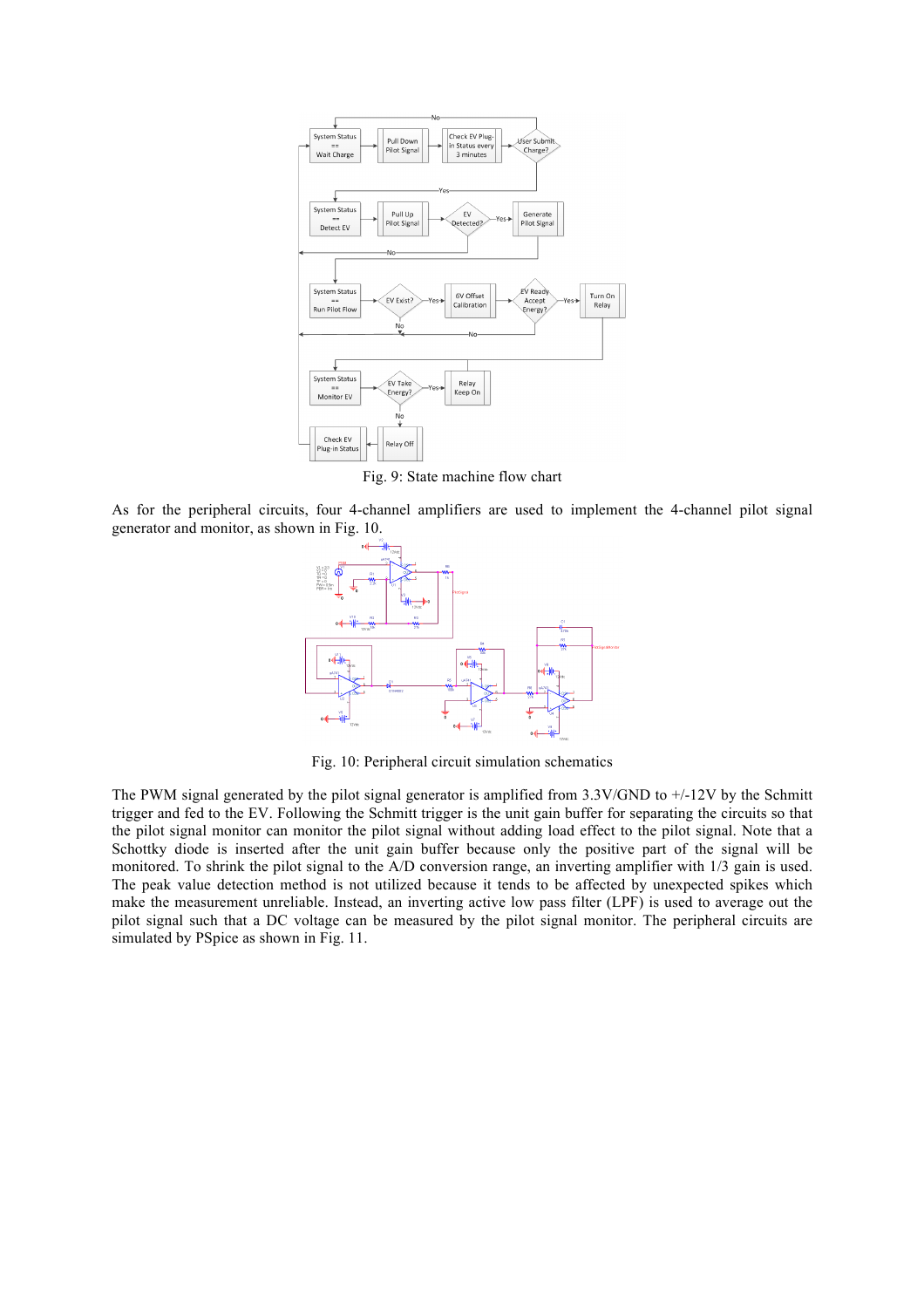

Fig. 9: State machine flow chart

As for the peripheral circuits, four 4-channel amplifiers are used to implement the 4-channel pilot signal generator and monitor, as shown in Fig. 10.



Fig. 10: Peripheral circuit simulation schematics

The PWM signal generated by the pilot signal generator is amplified from  $3.3V/GND$  to  $+/12V$  by the Schmitt trigger and fed to the EV. Following the Schmitt trigger is the unit gain buffer for separating the circuits so that the pilot signal monitor can monitor the pilot signal without adding load effect to the pilot signal. Note that a Schottky diode is inserted after the unit gain buffer because only the positive part of the signal will be monitored. To shrink the pilot signal to the A/D conversion range, an inverting amplifier with 1/3 gain is used. The peak value detection method is not utilized because it tends to be affected by unexpected spikes which make the measurement unreliable. Instead, an inverting active low pass filter (LPF) is used to average out the pilot signal such that a DC voltage can be measured by the pilot signal monitor. The peripheral circuits are simulated by PSpice as shown in Fig. 11.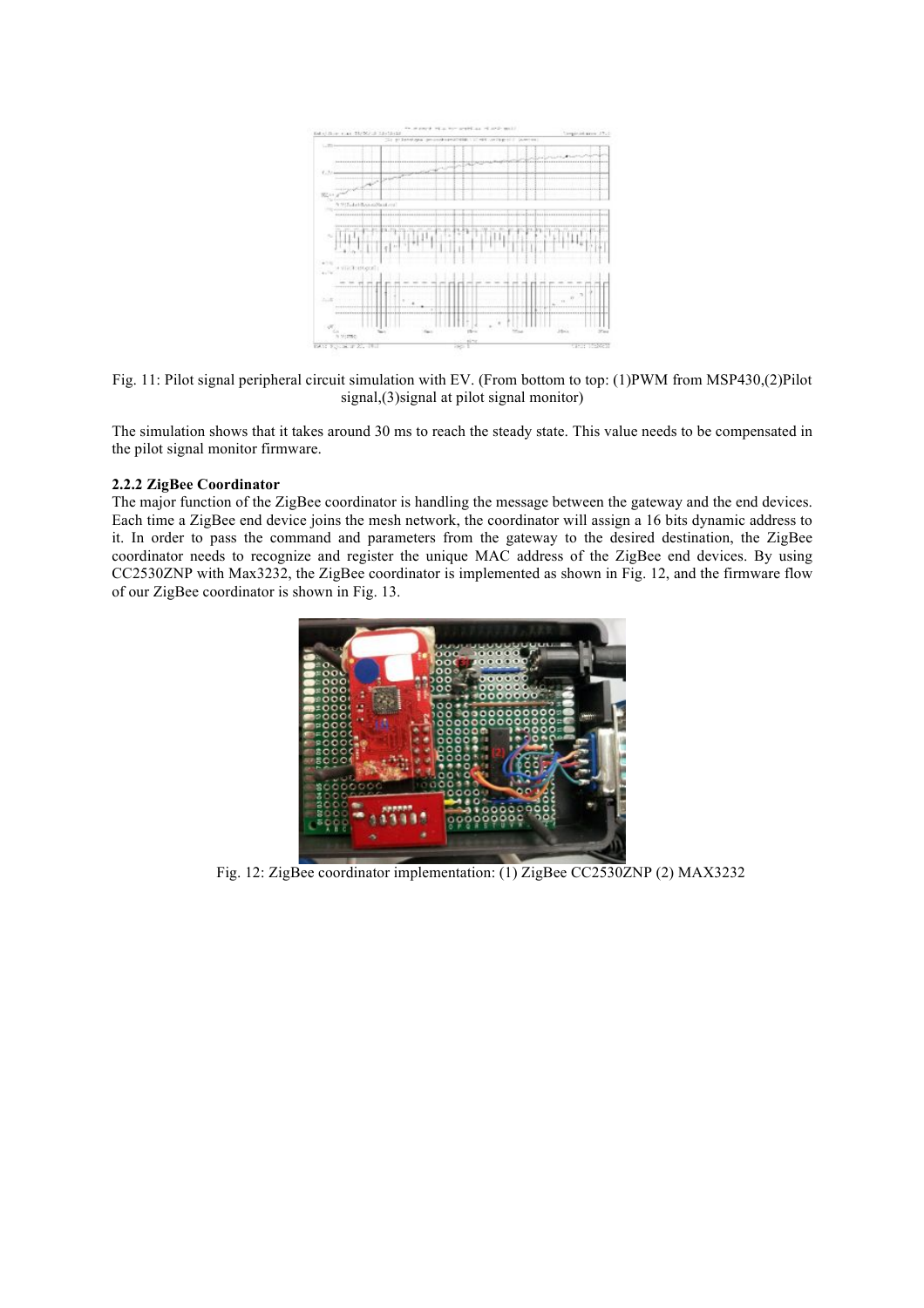

Fig. 11: Pilot signal peripheral circuit simulation with EV. (From bottom to top: (1)PWM from MSP430,(2)Pilot signal,(3)signal at pilot signal monitor)

The simulation shows that it takes around 30 ms to reach the steady state. This value needs to be compensated in the pilot signal monitor firmware.

## **2.2.2 ZigBee Coordinator**

The major function of the ZigBee coordinator is handling the message between the gateway and the end devices. Each time a ZigBee end device joins the mesh network, the coordinator will assign a 16 bits dynamic address to it. In order to pass the command and parameters from the gateway to the desired destination, the ZigBee coordinator needs to recognize and register the unique MAC address of the ZigBee end devices. By using CC2530ZNP with Max3232, the ZigBee coordinator is implemented as shown in Fig. 12, and the firmware flow of our ZigBee coordinator is shown in Fig. 13.



Fig. 12: ZigBee coordinator implementation: (1) ZigBee CC2530ZNP (2) MAX3232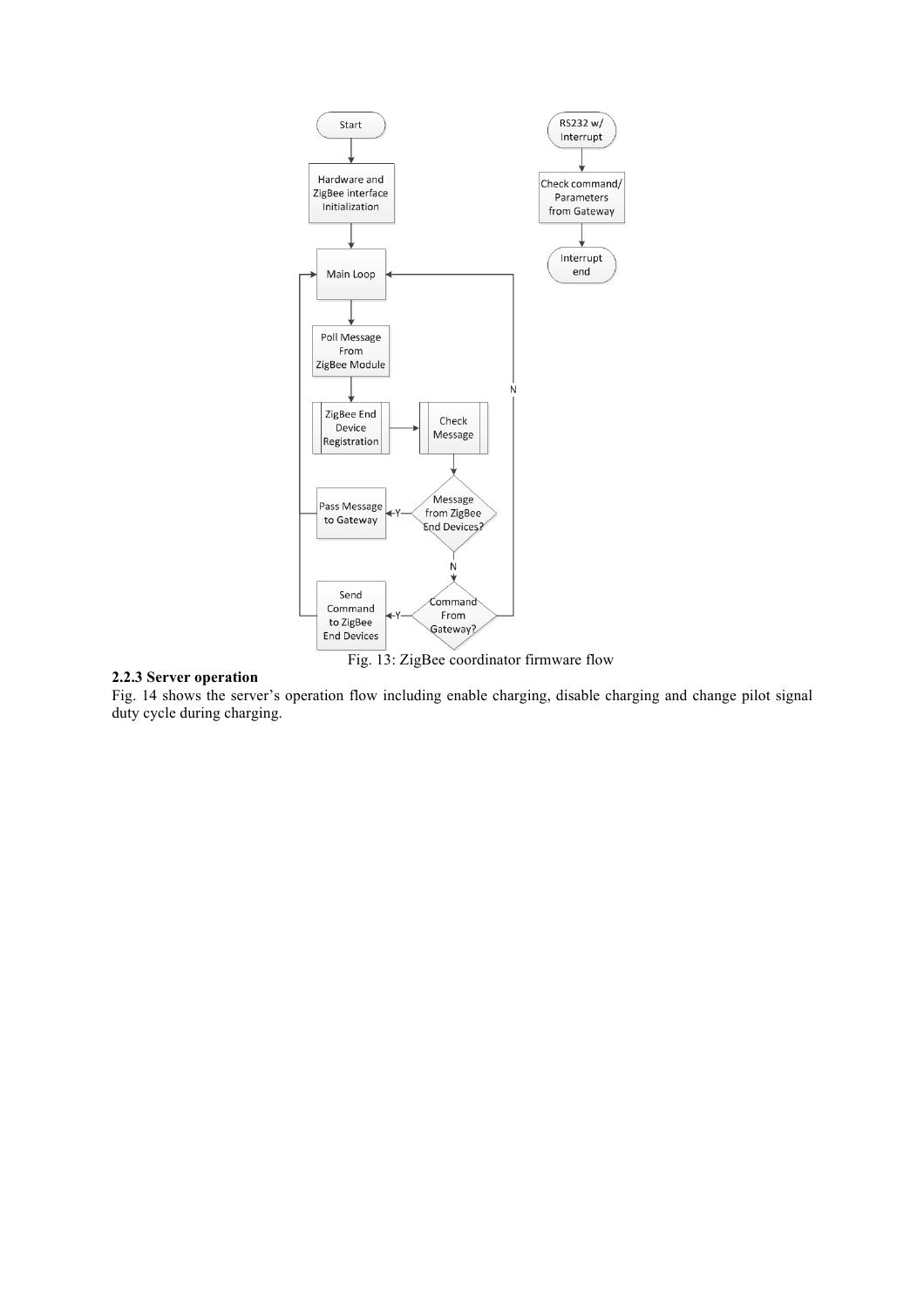

## **2.2.3 Server operation**

Fig. 14 shows the server's operation flow including enable charging, disable charging and change pilot signal duty cycle during charging.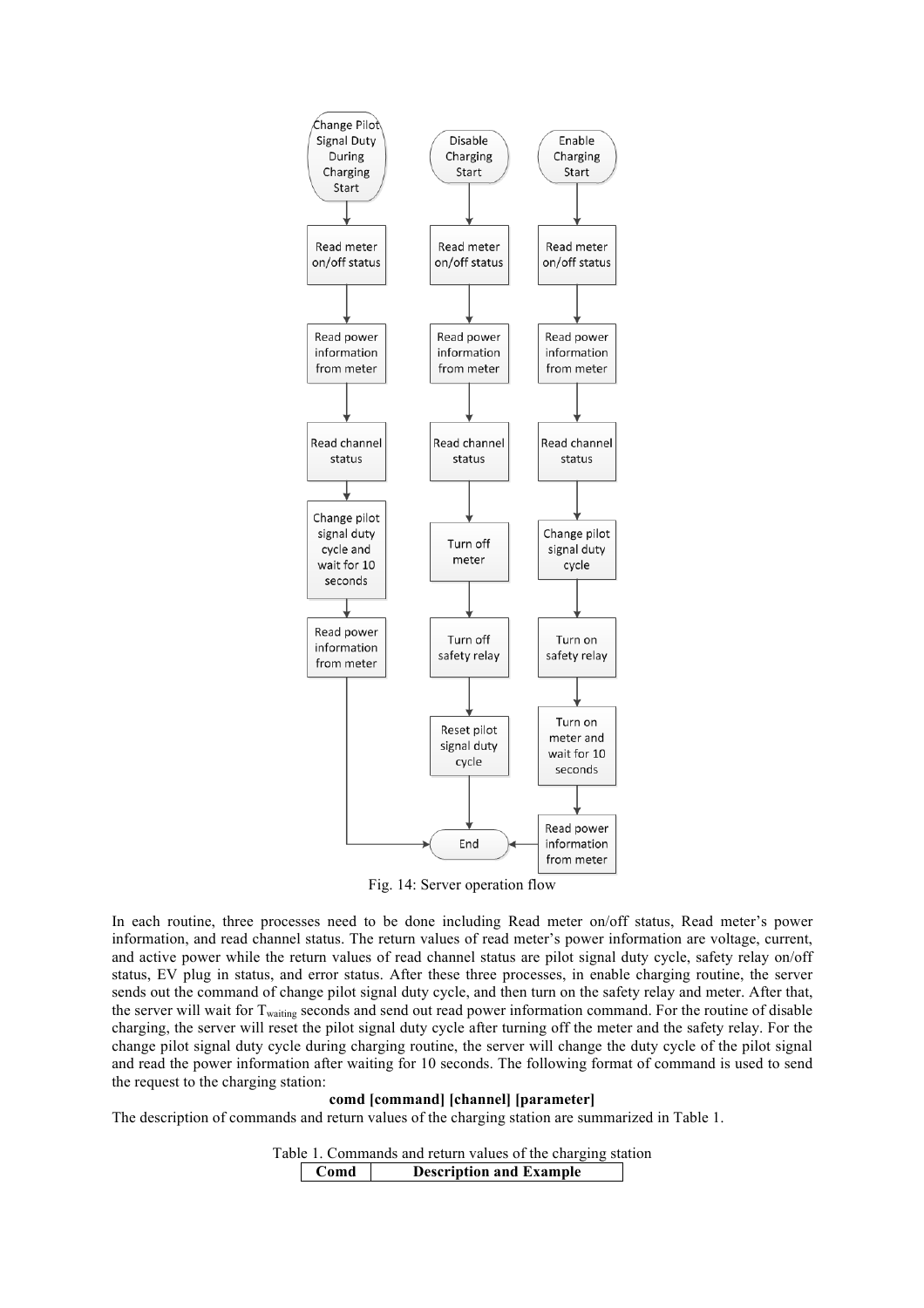

Fig. 14: Server operation flow

In each routine, three processes need to be done including Read meter on/off status, Read meter's power information, and read channel status. The return values of read meter's power information are voltage, current, and active power while the return values of read channel status are pilot signal duty cycle, safety relay on/off status, EV plug in status, and error status. After these three processes, in enable charging routine, the server sends out the command of change pilot signal duty cycle, and then turn on the safety relay and meter. After that, the server will wait for T<sub>waiting</sub> seconds and send out read power information command. For the routine of disable charging, the server will reset the pilot signal duty cycle after turning off the meter and the safety relay. For the change pilot signal duty cycle during charging routine, the server will change the duty cycle of the pilot signal and read the power information after waiting for 10 seconds. The following format of command is used to send the request to the charging station:

## **comd [command] [channel] [parameter]**

The description of commands and return values of the charging station are summarized in Table 1.

Table 1. Commands and return values of the charging station **Comd Description and Example**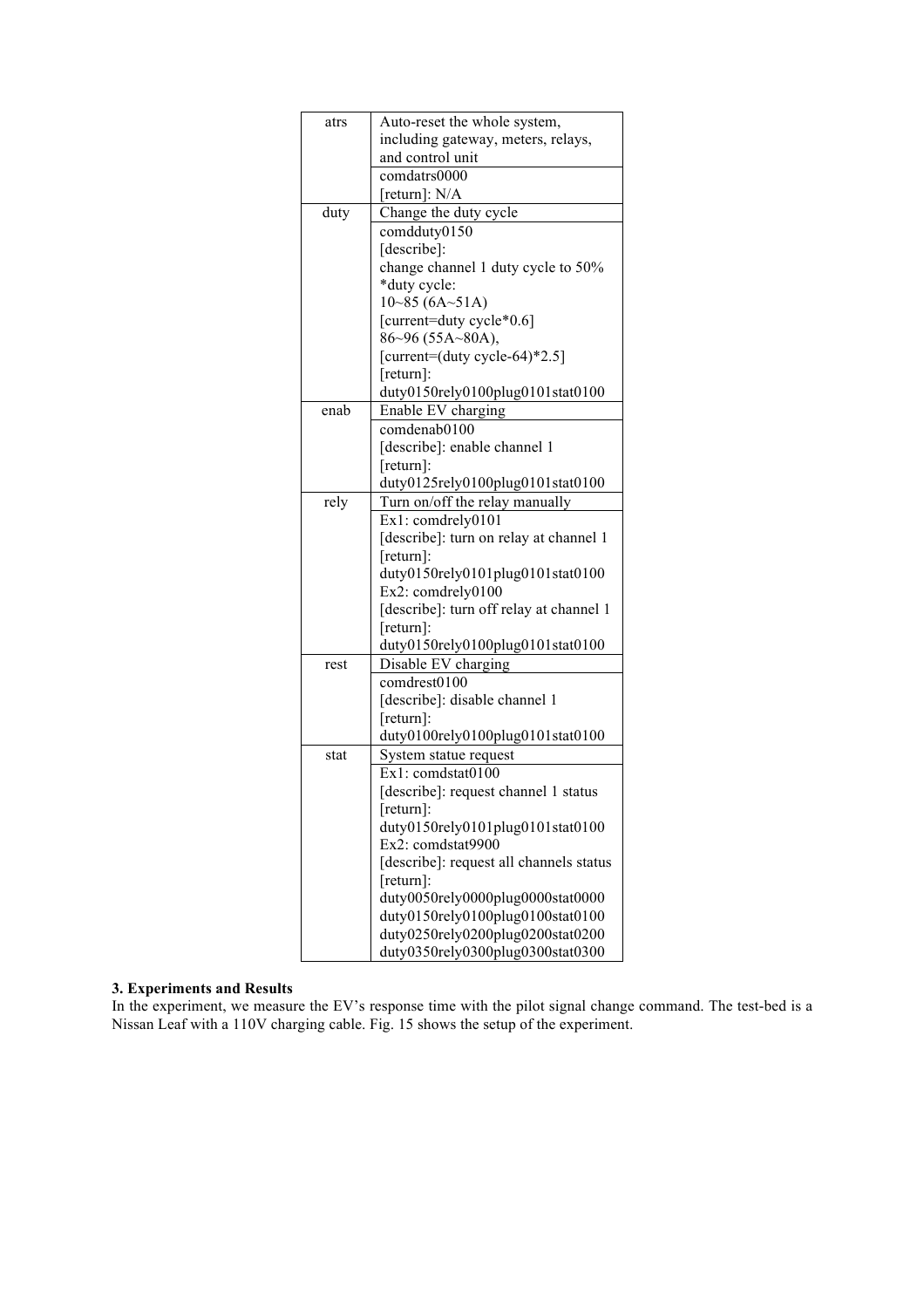| atrs | Auto-reset the whole system,                                                                                                                                                                                                                                                                                          |  |  |  |  |
|------|-----------------------------------------------------------------------------------------------------------------------------------------------------------------------------------------------------------------------------------------------------------------------------------------------------------------------|--|--|--|--|
|      | including gateway, meters, relays,                                                                                                                                                                                                                                                                                    |  |  |  |  |
|      | and control unit                                                                                                                                                                                                                                                                                                      |  |  |  |  |
|      | comdatrs0000                                                                                                                                                                                                                                                                                                          |  |  |  |  |
|      | [return]: N/A                                                                                                                                                                                                                                                                                                         |  |  |  |  |
| duty | Change the duty cycle                                                                                                                                                                                                                                                                                                 |  |  |  |  |
|      | comdduty0150                                                                                                                                                                                                                                                                                                          |  |  |  |  |
|      | [describe]:                                                                                                                                                                                                                                                                                                           |  |  |  |  |
|      | change channel 1 duty cycle to 50%                                                                                                                                                                                                                                                                                    |  |  |  |  |
|      | *duty cycle:                                                                                                                                                                                                                                                                                                          |  |  |  |  |
|      | 10~85(6A~51A)                                                                                                                                                                                                                                                                                                         |  |  |  |  |
|      | [current=duty cycle*0.6]                                                                                                                                                                                                                                                                                              |  |  |  |  |
|      | $86~96$ (55A~80A),                                                                                                                                                                                                                                                                                                    |  |  |  |  |
|      | [current= $(duty cycle-64)*2.5$ ]                                                                                                                                                                                                                                                                                     |  |  |  |  |
|      | $[return]$ :                                                                                                                                                                                                                                                                                                          |  |  |  |  |
|      | duty0150rely0100plug0101stat0100                                                                                                                                                                                                                                                                                      |  |  |  |  |
| enab | Enable EV charging                                                                                                                                                                                                                                                                                                    |  |  |  |  |
|      | comdenab0100                                                                                                                                                                                                                                                                                                          |  |  |  |  |
|      | [describe]: enable channel 1                                                                                                                                                                                                                                                                                          |  |  |  |  |
|      | [return]:                                                                                                                                                                                                                                                                                                             |  |  |  |  |
|      | duty0125rely0100plug0101stat0100                                                                                                                                                                                                                                                                                      |  |  |  |  |
| rely | Turn on/off the relay manually                                                                                                                                                                                                                                                                                        |  |  |  |  |
|      | Ex1: comdrely0101                                                                                                                                                                                                                                                                                                     |  |  |  |  |
|      | [describe]: turn on relay at channel 1                                                                                                                                                                                                                                                                                |  |  |  |  |
|      | $[return]$ :                                                                                                                                                                                                                                                                                                          |  |  |  |  |
|      | duty0150rely0101plug0101stat0100                                                                                                                                                                                                                                                                                      |  |  |  |  |
|      | Ex2: comdrely0100                                                                                                                                                                                                                                                                                                     |  |  |  |  |
|      | [describe]: turn off relay at channel 1                                                                                                                                                                                                                                                                               |  |  |  |  |
|      | $[return]$ :                                                                                                                                                                                                                                                                                                          |  |  |  |  |
|      | duty0150rely0100plug0101stat0100                                                                                                                                                                                                                                                                                      |  |  |  |  |
| rest | Disable EV charging                                                                                                                                                                                                                                                                                                   |  |  |  |  |
|      | comdrest0100                                                                                                                                                                                                                                                                                                          |  |  |  |  |
|      | [describe]: disable channel 1                                                                                                                                                                                                                                                                                         |  |  |  |  |
|      | $[return]$ :                                                                                                                                                                                                                                                                                                          |  |  |  |  |
|      | duty0100rely0100plug0101stat0100                                                                                                                                                                                                                                                                                      |  |  |  |  |
| stat | System statue request<br>Ex1: comdstat0100                                                                                                                                                                                                                                                                            |  |  |  |  |
|      |                                                                                                                                                                                                                                                                                                                       |  |  |  |  |
|      |                                                                                                                                                                                                                                                                                                                       |  |  |  |  |
|      |                                                                                                                                                                                                                                                                                                                       |  |  |  |  |
|      |                                                                                                                                                                                                                                                                                                                       |  |  |  |  |
|      |                                                                                                                                                                                                                                                                                                                       |  |  |  |  |
|      |                                                                                                                                                                                                                                                                                                                       |  |  |  |  |
|      |                                                                                                                                                                                                                                                                                                                       |  |  |  |  |
|      |                                                                                                                                                                                                                                                                                                                       |  |  |  |  |
|      |                                                                                                                                                                                                                                                                                                                       |  |  |  |  |
|      |                                                                                                                                                                                                                                                                                                                       |  |  |  |  |
|      | [describe]: request channel 1 status<br>$[return]$ :<br>duty0150rely0101plug0101stat0100<br>Ex2: comdstat9900<br>[describe]: request all channels status<br>[return]:<br>duty0050rely0000plug0000stat0000<br>duty0150rely0100plug0100stat0100<br>duty0250rely0200plug0200stat0200<br>duty0350rely0300plug0300stat0300 |  |  |  |  |

## **3. Experiments and Results**

In the experiment, we measure the EV's response time with the pilot signal change command. The test-bed is a Nissan Leaf with a 110V charging cable. Fig. 15 shows the setup of the experiment.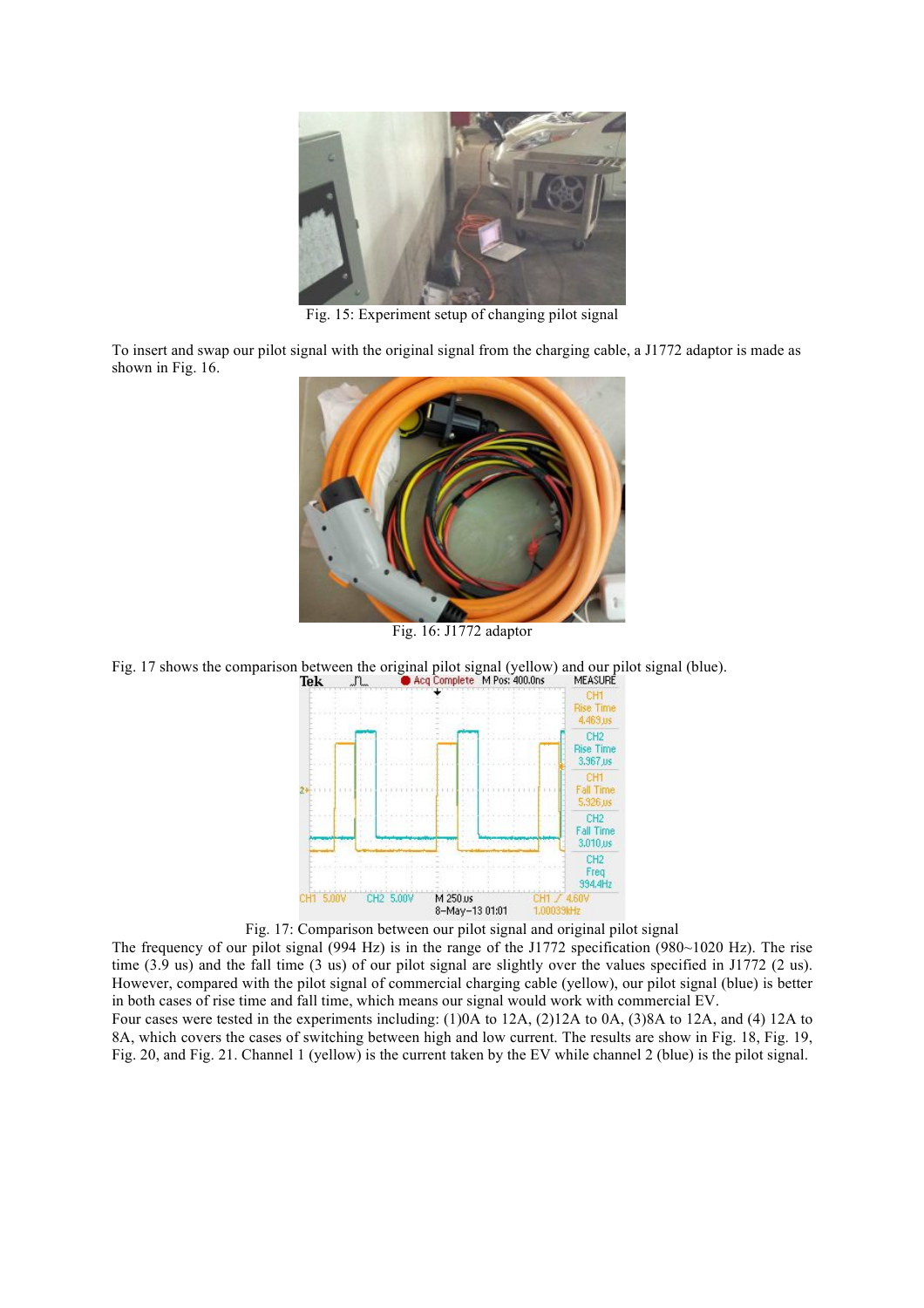

Fig. 15: Experiment setup of changing pilot signal

To insert and swap our pilot signal with the original signal from the charging cable, a J1772 adaptor is made as shown in Fig. 16.



Fig. 16: J1772 adaptor

Fig. 17 shows the comparison between the original pilot signal (yellow) and our pilot signal (blue).<br> **Tek**  $\Box$  **A**cq Complete M Pos: 400.0ns MEASURE



Fig. 17: Comparison between our pilot signal and original pilot signal

The frequency of our pilot signal (994 Hz) is in the range of the J1772 specification (980~1020 Hz). The rise time (3.9 us) and the fall time (3 us) of our pilot signal are slightly over the values specified in J1772 (2 us). However, compared with the pilot signal of commercial charging cable (yellow), our pilot signal (blue) is better in both cases of rise time and fall time, which means our signal would work with commercial EV.

Four cases were tested in the experiments including: (1)0A to 12A, (2)12A to 0A, (3)8A to 12A, and (4) 12A to 8A, which covers the cases of switching between high and low current. The results are show in Fig. 18, Fig. 19, Fig. 20, and Fig. 21. Channel 1 (yellow) is the current taken by the EV while channel 2 (blue) is the pilot signal.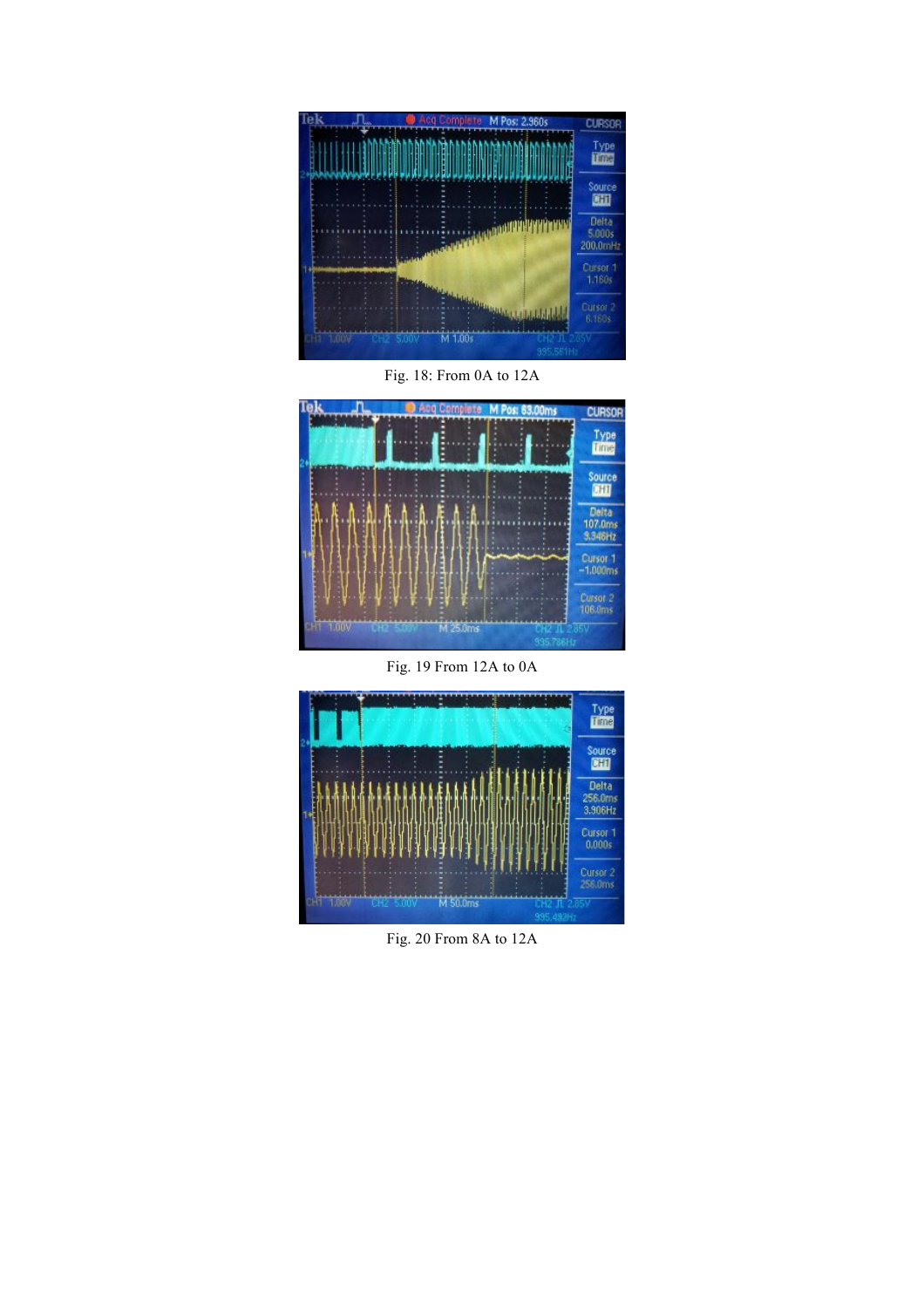

Fig. 18: From 0A to 12A



Fig. 19 From 12A to 0A



Fig. 20 From 8A to 12A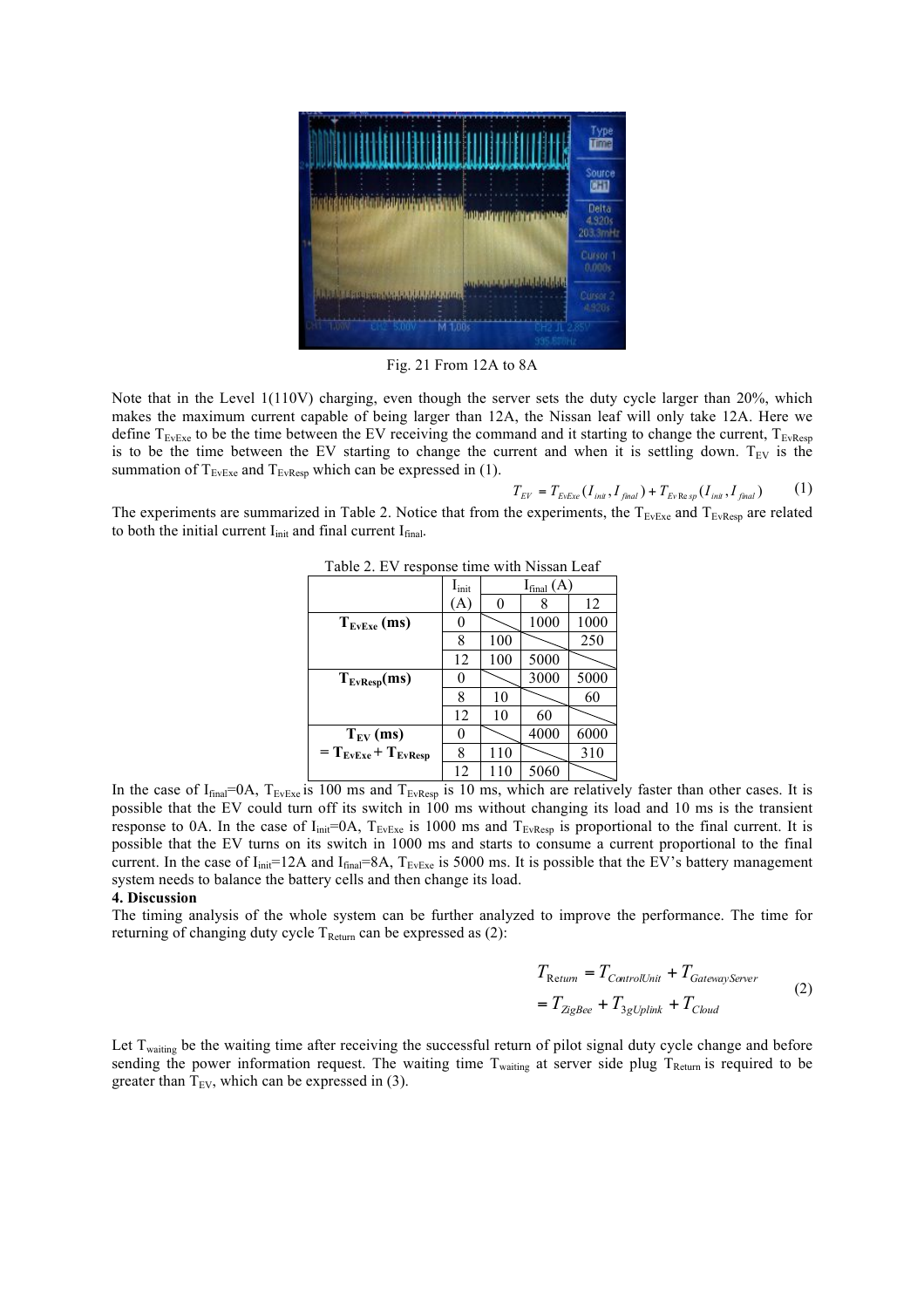

Fig. 21 From 12A to 8A

Note that in the Level 1(110V) charging, even though the server sets the duty cycle larger than 20%, which makes the maximum current capable of being larger than 12A, the Nissan leaf will only take 12A. Here we define  $T_{\text{EvFxe}}$  to be the time between the EV receiving the command and it starting to change the current,  $T_{\text{EvFxe}}$ is to be the time between the EV starting to change the current and when it is settling down.  $T_{EV}$  is the summation of  $T_{\text{EvExe}}$  and  $T_{\text{EvResp}}$  which can be expressed in (1).

$$
T_{EV} = T_{EvExe} (I_{\text{init}}, I_{\text{final}}) + T_{Ev\text{Res}sp} (I_{\text{init}}, I_{\text{final}}) \tag{1}
$$

The experiments are summarized in Table 2. Notice that from the experiments, the  $T_{EvEx}$  and  $T_{EvRes}$  are related to both the initial current  $I_{init}$  and final current  $I_{final}$ .

| $10010 = 10000$<br>$1.111 + 1.000$ |                            |                |      |      |  |  |
|------------------------------------|----------------------------|----------------|------|------|--|--|
|                                    | $\mathbf{I}_{\text{init}}$ | $I_{final}(A)$ |      |      |  |  |
|                                    | [A]                        | 0              |      | 12   |  |  |
| $T_{EvExe}$ (ms)                   |                            |                | 1000 | 1000 |  |  |
|                                    | 8                          | 100            |      | 250  |  |  |
|                                    | 12                         | 100            | 5000 |      |  |  |
| $T_{EvResp}(ms)$                   | 0                          |                | 3000 | 5000 |  |  |
|                                    | 8                          | 10             |      | 60   |  |  |
|                                    | 12                         | 10             | 60   |      |  |  |
| $T_{EV}$ (ms)                      | 0                          |                | 4000 | 6000 |  |  |
| $= T_{EvExe} + T_{EvResp}$         | 8                          | 110            |      | 310  |  |  |
|                                    | 12                         | 110            | 5060 |      |  |  |

Table 2. EV response time with Nissan Leaf

In the case of  $I_{final}=0A$ ,  $T_{EvExe}$  is 100 ms and  $T_{EvResp}$  is 10 ms, which are relatively faster than other cases. It is possible that the EV could turn off its switch in 100 ms without changing its load and 10 ms is the transient response to 0A. In the case of  $I_{init}=0A$ ,  $T_{EvExe}$  is 1000 ms and  $T_{EvExe}$  is proportional to the final current. It is possible that the EV turns on its switch in 1000 ms and starts to consume a current proportional to the final current. In the case of  $I_{\text{init}}$ =12A and  $I_{\text{final}}$ =8A,  $T_{\text{EvExe}}$  is 5000 ms. It is possible that the EV's battery management system needs to balance the battery cells and then change its load.

### **4. Discussion**

The timing analysis of the whole system can be further analyzed to improve the performance. The time for returning of changing duty cycle  $T_{\text{Return}}$  can be expressed as (2):

$$
T_{\text{Return}} = T_{\text{ControlUnit}} + T_{\text{GatewayServer}}
$$
  
= 
$$
T_{\text{ZigBee}} + T_{\text{3gUplink}} + T_{\text{Cloud}}
$$
 (2)

Let T<sub>waiting</sub> be the waiting time after receiving the successful return of pilot signal duty cycle change and before sending the power information request. The waiting time  $T_{\text{wating}}$  at server side plug  $T_{\text{Return}}$  is required to be greater than  $T_{EV}$ , which can be expressed in (3).